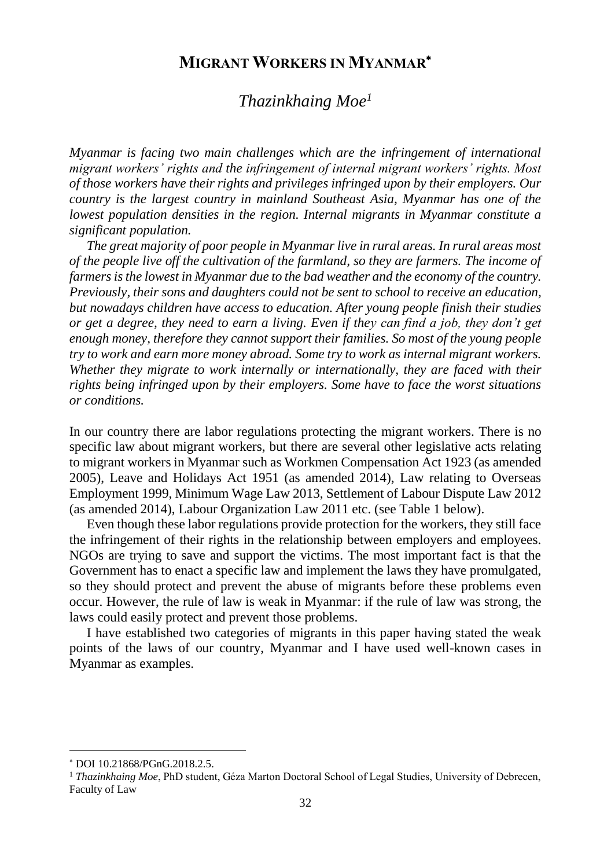## **MIGRANT WORKERS IN MYANMAR**

# *Thazinkhaing Moe<sup>1</sup>*

*Myanmar is facing two main challenges which are the infringement of international migrant workers' rights and the infringement of internal migrant workers' rights. Most of those workers have their rights and privileges infringed upon by their employers. Our country is the largest country in mainland Southeast Asia, Myanmar has one of the lowest population densities in the region. Internal migrants in Myanmar constitute a significant population.*

*The great majority of poor people in Myanmar live in rural areas. In rural areas most of the people live off the cultivation of the farmland, so they are farmers. The income of farmers is the lowest in Myanmar due to the bad weather and the economy of the country. Previously, their sons and daughters could not be sent to school to receive an education, but nowadays children have access to education. After young people finish their studies or get a degree, they need to earn a living. Even if they can find a job, they don't get enough money, therefore they cannot support their families. So most of the young people try to work and earn more money abroad. Some try to work as internal migrant workers. Whether they migrate to work internally or internationally, they are faced with their rights being infringed upon by their employers. Some have to face the worst situations or conditions.* 

In our country there are labor regulations protecting the migrant workers. There is no specific law about migrant workers, but there are several other legislative acts relating to migrant workers in Myanmar such as Workmen Compensation Act 1923 (as amended 2005), Leave and Holidays Act 1951 (as amended 2014), Law relating to Overseas Employment 1999, Minimum Wage Law 2013, Settlement of Labour Dispute Law 2012 (as amended 2014), Labour Organization Law 2011 etc. (see Table 1 below).

Even though these labor regulations provide protection for the workers, they still face the infringement of their rights in the relationship between employers and employees. NGOs are trying to save and support the victims. The most important fact is that the Government has to enact a specific law and implement the laws they have promulgated, so they should protect and prevent the abuse of migrants before these problems even occur. However, the rule of law is weak in Myanmar: if the rule of law was strong, the laws could easily protect and prevent those problems.

I have established two categories of migrants in this paper having stated the weak points of the laws of our country, Myanmar and I have used well-known cases in Myanmar as examples.

l

DOI 10.21868/PGnG.2018.2.5.

<sup>1</sup> *Thazinkhaing Moe*, PhD student, Géza Marton Doctoral School of Legal Studies, University of Debrecen, Faculty of Law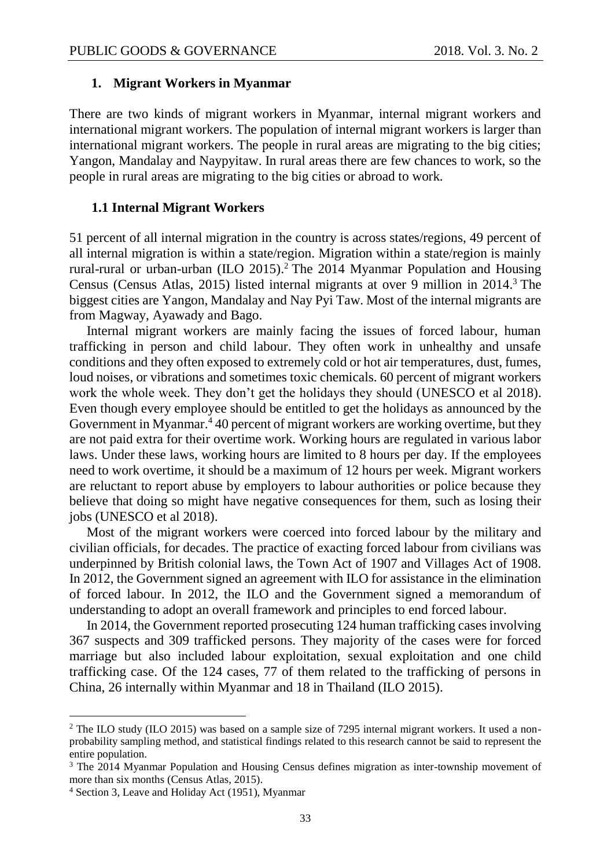#### **1. Migrant Workers in Myanmar**

There are two kinds of migrant workers in Myanmar, internal migrant workers and international migrant workers. The population of internal migrant workers is larger than international migrant workers. The people in rural areas are migrating to the big cities; Yangon, Mandalay and Naypyitaw. In rural areas there are few chances to work, so the people in rural areas are migrating to the big cities or abroad to work.

#### **1.1 Internal Migrant Workers**

51 percent of all internal migration in the country is across states/regions, 49 percent of all internal migration is within a state/region. Migration within a state/region is mainly rural-rural or urban-urban (ILO 2015).<sup>2</sup> The 2014 Myanmar Population and Housing Census (Census Atlas, 2015) listed internal migrants at over 9 million in 2014.<sup>3</sup> The biggest cities are Yangon, Mandalay and Nay Pyi Taw. Most of the internal migrants are from Magway, Ayawady and Bago.

Internal migrant workers are mainly facing the issues of forced labour, human trafficking in person and child labour. They often work in unhealthy and unsafe conditions and they often exposed to extremely cold or hot air temperatures, dust, fumes, loud noises, or vibrations and sometimes toxic chemicals. 60 percent of migrant workers work the whole week. They don't get the holidays they should (UNESCO et al 2018). Even though every employee should be entitled to get the holidays as announced by the Government in Myanmar. $4\overline{4}0$  percent of migrant workers are working overtime, but they are not paid extra for their overtime work. Working hours are regulated in various labor laws. Under these laws, working hours are limited to 8 hours per day. If the employees need to work overtime, it should be a maximum of 12 hours per week. Migrant workers are reluctant to report abuse by employers to labour authorities or police because they believe that doing so might have negative consequences for them, such as losing their jobs (UNESCO et al 2018).

Most of the migrant workers were coerced into forced labour by the military and civilian officials, for decades. The practice of exacting forced labour from civilians was underpinned by British colonial laws, the Town Act of 1907 and Villages Act of 1908. In 2012, the Government signed an agreement with ILO for assistance in the elimination of forced labour. In 2012, the ILO and the Government signed a memorandum of understanding to adopt an overall framework and principles to end forced labour.

In 2014, the Government reported prosecuting 124 human trafficking cases involving 367 suspects and 309 trafficked persons. They majority of the cases were for forced marriage but also included labour exploitation, sexual exploitation and one child trafficking case. Of the 124 cases, 77 of them related to the trafficking of persons in China, 26 internally within Myanmar and 18 in Thailand (ILO 2015).

 $\overline{a}$ 

<sup>2</sup> The ILO study (ILO 2015) was based on a sample size of 7295 internal migrant workers. It used a nonprobability sampling method, and statistical findings related to this research cannot be said to represent the entire population.

<sup>&</sup>lt;sup>3</sup> The 2014 Myanmar Population and Housing Census defines migration as inter-township movement of more than six months (Census Atlas, 2015).

<sup>4</sup> Section 3, Leave and Holiday Act (1951), Myanmar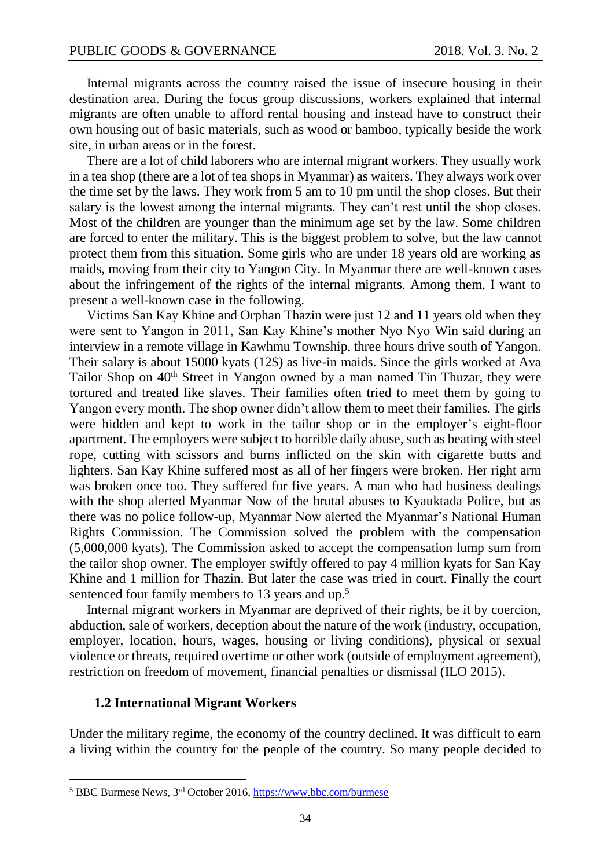Internal migrants across the country raised the issue of insecure housing in their destination area. During the focus group discussions, workers explained that internal migrants are often unable to afford rental housing and instead have to construct their own housing out of basic materials, such as wood or bamboo, typically beside the work site, in urban areas or in the forest.

There are a lot of child laborers who are internal migrant workers. They usually work in a tea shop (there are a lot of tea shops in Myanmar) as waiters. They always work over the time set by the laws. They work from 5 am to 10 pm until the shop closes. But their salary is the lowest among the internal migrants. They can't rest until the shop closes. Most of the children are younger than the minimum age set by the law. Some children are forced to enter the military. This is the biggest problem to solve, but the law cannot protect them from this situation. Some girls who are under 18 years old are working as maids, moving from their city to Yangon City. In Myanmar there are well-known cases about the infringement of the rights of the internal migrants. Among them, I want to present a well-known case in the following.

Victims San Kay Khine and Orphan Thazin were just 12 and 11 years old when they were sent to Yangon in 2011, San Kay Khine's mother Nyo Nyo Win said during an interview in a remote village in Kawhmu Township, three hours drive south of Yangon. Their salary is about 15000 kyats (12\$) as live-in maids. Since the girls worked at Ava Tailor Shop on 40<sup>th</sup> Street in Yangon owned by a man named Tin Thuzar, they were tortured and treated like slaves. Their families often tried to meet them by going to Yangon every month. The shop owner didn't allow them to meet their families. The girls were hidden and kept to work in the tailor shop or in the employer's eight-floor apartment. The employers were subject to horrible daily abuse, such as beating with steel rope, cutting with scissors and burns inflicted on the skin with cigarette butts and lighters. San Kay Khine suffered most as all of her fingers were broken. Her right arm was broken once too. They suffered for five years. A man who had business dealings with the shop alerted Myanmar Now of the brutal abuses to Kyauktada Police, but as there was no police follow-up, Myanmar Now alerted the Myanmar's National Human Rights Commission. The Commission solved the problem with the compensation (5,000,000 kyats). The Commission asked to accept the compensation lump sum from the tailor shop owner. The employer swiftly offered to pay 4 million kyats for San Kay Khine and 1 million for Thazin. But later the case was tried in court. Finally the court sentenced four family members to 13 years and up.<sup>5</sup>

Internal migrant workers in Myanmar are deprived of their rights, be it by coercion, abduction, sale of workers, deception about the nature of the work (industry, occupation, employer, location, hours, wages, housing or living conditions), physical or sexual violence or threats, required overtime or other work (outside of employment agreement), restriction on freedom of movement, financial penalties or dismissal (ILO 2015).

#### **1.2 International Migrant Workers**

 $\overline{a}$ 

Under the military regime, the economy of the country declined. It was difficult to earn a living within the country for the people of the country. So many people decided to

<sup>5</sup> BBC Burmese News, 3rd October 2016,<https://www.bbc.com/burmese>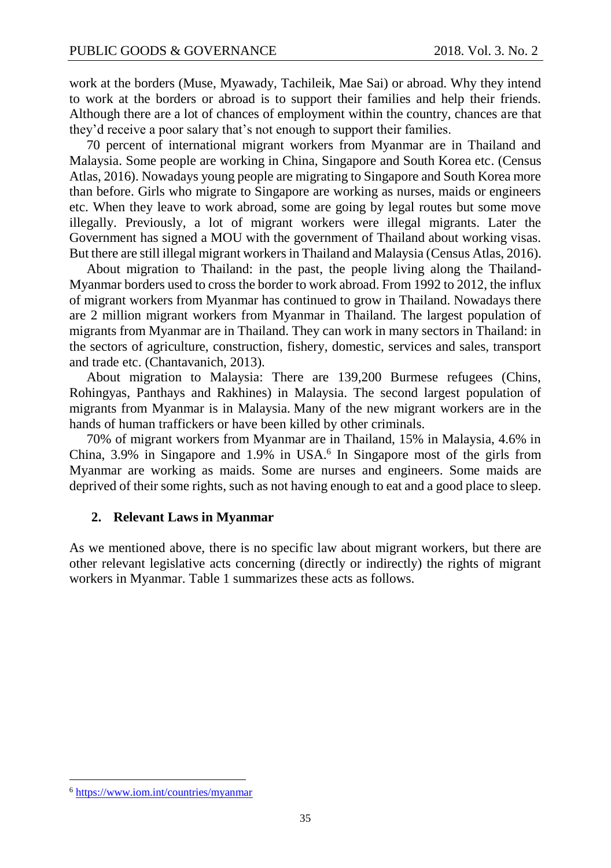work at the borders (Muse, Myawady, Tachileik, Mae Sai) or abroad. Why they intend to work at the borders or abroad is to support their families and help their friends. Although there are a lot of chances of employment within the country, chances are that they'd receive a poor salary that's not enough to support their families.

70 percent of international migrant workers from Myanmar are in Thailand and Malaysia. Some people are working in China, Singapore and South Korea etc. (Census Atlas, 2016). Nowadays young people are migrating to Singapore and South Korea more than before. Girls who migrate to Singapore are working as nurses, maids or engineers etc. When they leave to work abroad, some are going by legal routes but some move illegally. Previously, a lot of migrant workers were illegal migrants. Later the Government has signed a MOU with the government of Thailand about working visas. But there are still illegal migrant workers in Thailand and Malaysia (Census Atlas, 2016).

About migration to Thailand: in the past, the people living along the Thailand-Myanmar borders used to cross the border to work abroad. From 1992 to 2012, the influx of migrant workers from Myanmar has continued to grow in Thailand. Nowadays there are 2 million migrant workers from Myanmar in Thailand. The largest population of migrants from Myanmar are in Thailand. They can work in many sectors in Thailand: in the sectors of agriculture, construction, fishery, domestic, services and sales, transport and trade etc. (Chantavanich, 2013).

About migration to Malaysia: There are 139,200 Burmese refugees (Chins, Rohingyas, Panthays and Rakhines) in Malaysia. The second largest population of migrants from Myanmar is in Malaysia. Many of the new migrant workers are in the hands of human traffickers or have been killed by other criminals.

70% of migrant workers from Myanmar are in Thailand, 15% in Malaysia, 4.6% in China,  $3.9\%$  in Singapore and  $1.9\%$  in USA.<sup>6</sup> In Singapore most of the girls from Myanmar are working as maids. Some are nurses and engineers. Some maids are deprived of their some rights, such as not having enough to eat and a good place to sleep.

#### **2. Relevant Laws in Myanmar**

As we mentioned above, there is no specific law about migrant workers, but there are other relevant legislative acts concerning (directly or indirectly) the rights of migrant workers in Myanmar. Table 1 summarizes these acts as follows.

 $\overline{a}$ 

<sup>6</sup> <https://www.iom.int/countries/myanmar>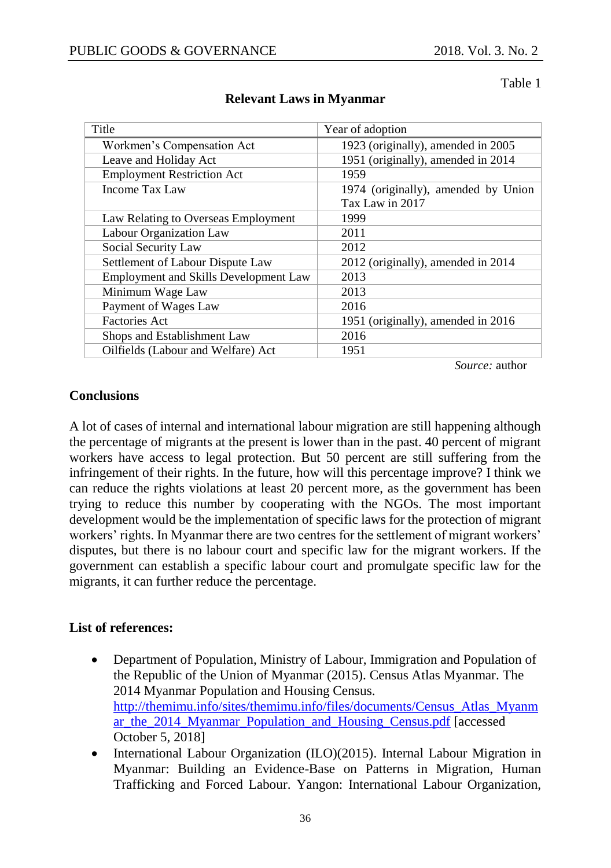Table 1

| Title                                        | Year of adoption                    |
|----------------------------------------------|-------------------------------------|
| Workmen's Compensation Act                   | 1923 (originally), amended in 2005  |
| Leave and Holiday Act                        | 1951 (originally), amended in 2014  |
| <b>Employment Restriction Act</b>            | 1959                                |
| Income Tax Law                               | 1974 (originally), amended by Union |
|                                              | Tax Law in 2017                     |
| Law Relating to Overseas Employment          | 1999                                |
| Labour Organization Law                      | 2011                                |
| Social Security Law                          | 2012                                |
| Settlement of Labour Dispute Law             | 2012 (originally), amended in 2014  |
| <b>Employment and Skills Development Law</b> | 2013                                |
| Minimum Wage Law                             | 2013                                |
| Payment of Wages Law                         | 2016                                |
| <b>Factories Act</b>                         | 1951 (originally), amended in 2016  |
| Shops and Establishment Law                  | 2016                                |
| Oilfields (Labour and Welfare) Act           | 1951                                |

## **Relevant Laws in Myanmar**

*Source:* author

### **Conclusions**

A lot of cases of internal and international labour migration are still happening although the percentage of migrants at the present is lower than in the past. 40 percent of migrant workers have access to legal protection. But 50 percent are still suffering from the infringement of their rights. In the future, how will this percentage improve? I think we can reduce the rights violations at least 20 percent more, as the government has been trying to reduce this number by cooperating with the NGOs. The most important development would be the implementation of specific laws for the protection of migrant workers' rights. In Myanmar there are two centres for the settlement of migrant workers' disputes, but there is no labour court and specific law for the migrant workers. If the government can establish a specific labour court and promulgate specific law for the migrants, it can further reduce the percentage.

### **List of references:**

- Department of Population, Ministry of Labour, Immigration and Population of the Republic of the Union of Myanmar (2015). Census Atlas Myanmar. The 2014 Myanmar Population and Housing Census. [http://themimu.info/sites/themimu.info/files/documents/Census\\_Atlas\\_Myanm](http://themimu.info/sites/themimu.info/files/documents/Census_Atlas_Myanmar_the_2014_Myanmar_Population_and_Housing_Census.pdf) [ar\\_the\\_2014\\_Myanmar\\_Population\\_and\\_Housing\\_Census.pdf](http://themimu.info/sites/themimu.info/files/documents/Census_Atlas_Myanmar_the_2014_Myanmar_Population_and_Housing_Census.pdf) [accessed October 5, 2018]
- International Labour Organization (ILO)(2015). Internal Labour Migration in Myanmar: Building an Evidence-Base on Patterns in Migration, Human Trafficking and Forced Labour. Yangon: International Labour Organization,